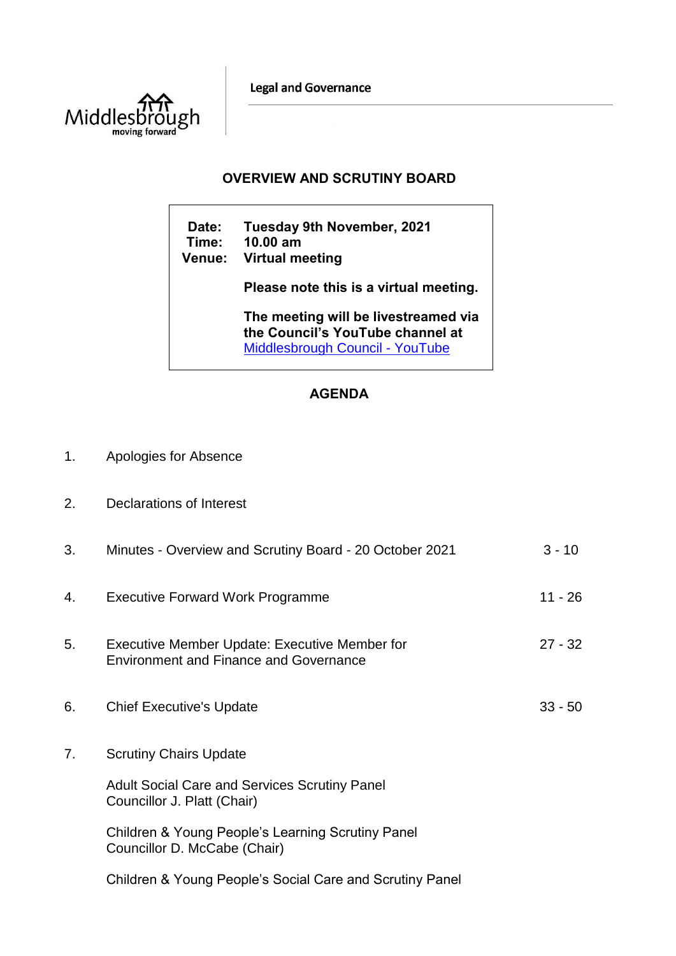**Legal and Governance** 



## **OVERVIEW AND SCRUTINY BOARD**

**Date: Tuesday 9th November, 2021 Time: 10.00 am Venue: Virtual meeting Please note this is a virtual meeting. The meeting will be livestreamed via the Council's YouTube channel at**  [Middlesbrough Council -](https://www.youtube.com/user/middlesbroughcouncil) YouTube

## **AGENDA**

- 1. Apologies for Absence
- 2. Declarations of Interest

| 3. | Minutes - Overview and Scrutiny Board - 20 October 2021                                        | $3 - 10$  |
|----|------------------------------------------------------------------------------------------------|-----------|
| 4. | <b>Executive Forward Work Programme</b>                                                        | 11 - 26   |
| 5. | Executive Member Update: Executive Member for<br><b>Environment and Finance and Governance</b> | $27 - 32$ |
| 6. | <b>Chief Executive's Update</b>                                                                | $33 - 50$ |
| 7. | <b>Scrutiny Chairs Update</b>                                                                  |           |
|    | <b>Adult Social Care and Services Scrutiny Panel</b><br>Councillor J. Platt (Chair)            |           |
|    | Children & Young People's Learning Scrutiny Panel<br>Councillor D. McCabe (Chair)              |           |

Children & Young People's Social Care and Scrutiny Panel